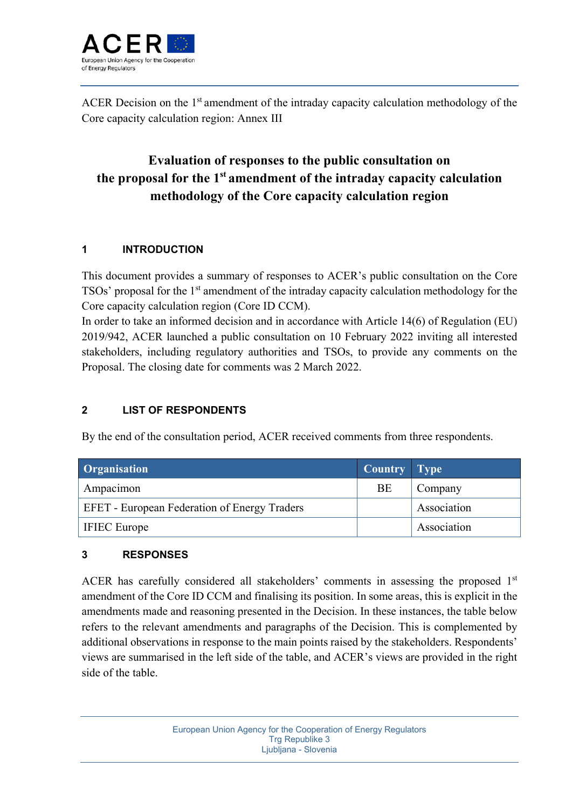

ACER Decision on the 1<sup>st</sup> amendment of the intraday capacity calculation methodology of the Core capacity calculation region: Annex III

## **Evaluation of responses to the public consultation on the proposal for the 1st amendment of the intraday capacity calculation methodology of the Core capacity calculation region**

## **1 INTRODUCTION**

This document provides a summary of responses to ACER's public consultation on the Core TSOs' proposal for the 1<sup>st</sup> amendment of the intraday capacity calculation methodology for the Core capacity calculation region (Core ID CCM).

In order to take an informed decision and in accordance with Article 14(6) of Regulation (EU) 2019/942, ACER launched a public consultation on 10 February 2022 inviting all interested stakeholders, including regulatory authorities and TSOs, to provide any comments on the Proposal. The closing date for comments was 2 March 2022.

## **2 LIST OF RESPONDENTS**

By the end of the consultation period, ACER received comments from three respondents.

| Organisation                                        | Country Type |             |
|-----------------------------------------------------|--------------|-------------|
| Ampacimon                                           | BE           | Company     |
| <b>EFET</b> - European Federation of Energy Traders |              | Association |
| <b>IFIEC</b> Europe                                 |              | Association |

## **3 RESPONSES**

ACER has carefully considered all stakeholders' comments in assessing the proposed  $1<sup>st</sup>$ amendment of the Core ID CCM and finalising its position. In some areas, this is explicit in the amendments made and reasoning presented in the Decision. In these instances, the table below refers to the relevant amendments and paragraphs of the Decision. This is complemented by additional observations in response to the main points raised by the stakeholders. Respondents' views are summarised in the left side of the table, and ACER's views are provided in the right side of the table.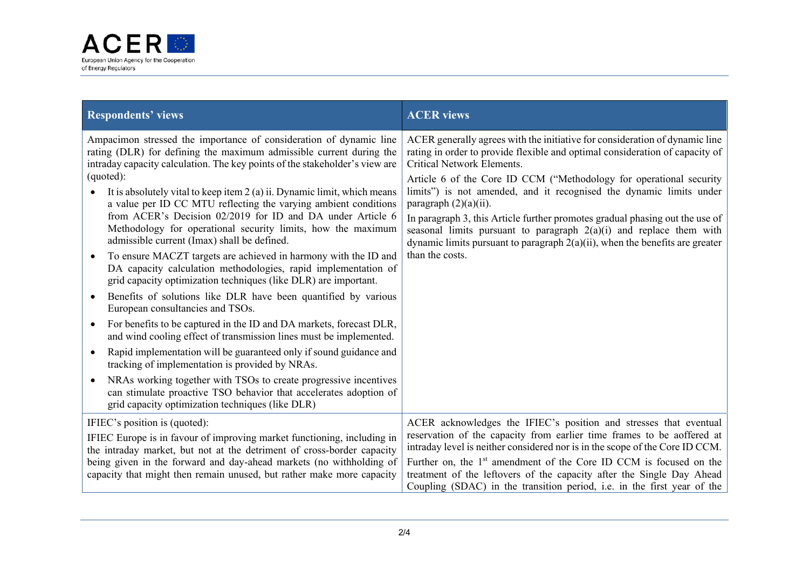

| <b>Respondents' views</b>                                                                                                                                                                                                             | <b>ACER</b> views                                                                                                                                                                                                                                                       |
|---------------------------------------------------------------------------------------------------------------------------------------------------------------------------------------------------------------------------------------|-------------------------------------------------------------------------------------------------------------------------------------------------------------------------------------------------------------------------------------------------------------------------|
| Ampacimon stressed the importance of consideration of dynamic line<br>rating (DLR) for defining the maximum admissible current during the<br>intraday capacity calculation. The key points of the stakeholder's view are<br>(quoted): | ACER generally agrees with the initiative for consideration of dynamic line<br>rating in order to provide flexible and optimal consideration of capacity of<br><b>Critical Network Elements.</b><br>Article 6 of the Core ID CCM ("Methodology for operational security |
| It is absolutely vital to keep item $2(a)$ ii. Dynamic limit, which means<br>a value per ID CC MTU reflecting the varying ambient conditions                                                                                          | limits") is not amended, and it recognised the dynamic limits under<br>paragraph $(2)(a)(ii)$ .                                                                                                                                                                         |
| from ACER's Decision 02/2019 for ID and DA under Article 6<br>Methodology for operational security limits, how the maximum<br>admissible current (Imax) shall be defined.                                                             | In paragraph 3, this Article further promotes gradual phasing out the use of<br>seasonal limits pursuant to paragraph $2(a)(i)$ and replace them with<br>dynamic limits pursuant to paragraph $2(a)(ii)$ , when the benefits are greater                                |
| To ensure MACZT targets are achieved in harmony with the ID and<br>$\bullet$<br>DA capacity calculation methodologies, rapid implementation of<br>grid capacity optimization techniques (like DLR) are important.                     | than the costs.                                                                                                                                                                                                                                                         |
| Benefits of solutions like DLR have been quantified by various<br>European consultancies and TSOs.                                                                                                                                    |                                                                                                                                                                                                                                                                         |
| For benefits to be captured in the ID and DA markets, forecast DLR,<br>$\bullet$<br>and wind cooling effect of transmission lines must be implemented.                                                                                |                                                                                                                                                                                                                                                                         |
| Rapid implementation will be guaranteed only if sound guidance and<br>$\bullet$<br>tracking of implementation is provided by NRAs.                                                                                                    |                                                                                                                                                                                                                                                                         |
| NRAs working together with TSOs to create progressive incentives<br>can stimulate proactive TSO behavior that accelerates adoption of<br>grid capacity optimization techniques (like DLR)                                             |                                                                                                                                                                                                                                                                         |
| IFIEC's position is (quoted):                                                                                                                                                                                                         | ACER acknowledges the IFIEC's position and stresses that eventual                                                                                                                                                                                                       |
| IFIEC Europe is in favour of improving market functioning, including in<br>the intraday market, but not at the detriment of cross-border capacity                                                                                     | reservation of the capacity from earlier time frames to be aoffered at<br>intraday level is neither considered nor is in the scope of the Core ID CCM.                                                                                                                  |
| being given in the forward and day-ahead markets (no withholding of<br>capacity that might then remain unused, but rather make more capacity                                                                                          | Further on, the 1 <sup>st</sup> amendment of the Core ID CCM is focused on the<br>treatment of the leftovers of the capacity after the Single Day Ahead<br>Coupling (SDAC) in the transition period, i.e. in the first year of the                                      |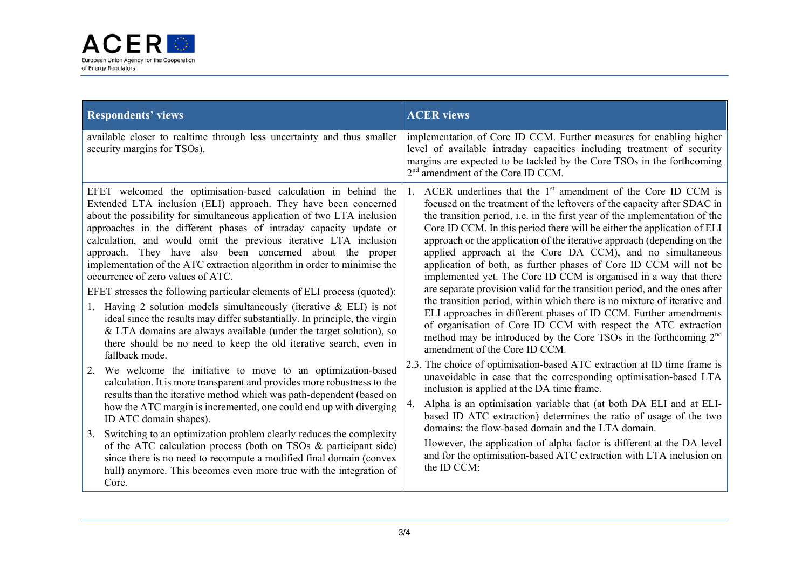

| <b>Respondents' views</b>                                                                                                                                                                                                                                                                                                                                                                                                                                                                                                                                                                                                                                                                                                                                                                                                                                                                                                                                                                                                                                                                                                                                                                                                                                                                                                                                                                                                                                                                                                                               | <b>ACER</b> views                                                                                                                                                                                                                                                                                                                                                                                                                                                                                                                                                                                                                                                                                                                                                                                                                                                                                                                                                                                                                                                                                                                                                                                                                                                                                                                                                                                                                                                                                                                                                                                   |
|---------------------------------------------------------------------------------------------------------------------------------------------------------------------------------------------------------------------------------------------------------------------------------------------------------------------------------------------------------------------------------------------------------------------------------------------------------------------------------------------------------------------------------------------------------------------------------------------------------------------------------------------------------------------------------------------------------------------------------------------------------------------------------------------------------------------------------------------------------------------------------------------------------------------------------------------------------------------------------------------------------------------------------------------------------------------------------------------------------------------------------------------------------------------------------------------------------------------------------------------------------------------------------------------------------------------------------------------------------------------------------------------------------------------------------------------------------------------------------------------------------------------------------------------------------|-----------------------------------------------------------------------------------------------------------------------------------------------------------------------------------------------------------------------------------------------------------------------------------------------------------------------------------------------------------------------------------------------------------------------------------------------------------------------------------------------------------------------------------------------------------------------------------------------------------------------------------------------------------------------------------------------------------------------------------------------------------------------------------------------------------------------------------------------------------------------------------------------------------------------------------------------------------------------------------------------------------------------------------------------------------------------------------------------------------------------------------------------------------------------------------------------------------------------------------------------------------------------------------------------------------------------------------------------------------------------------------------------------------------------------------------------------------------------------------------------------------------------------------------------------------------------------------------------------|
| available closer to realtime through less uncertainty and thus smaller<br>security margins for TSOs).                                                                                                                                                                                                                                                                                                                                                                                                                                                                                                                                                                                                                                                                                                                                                                                                                                                                                                                                                                                                                                                                                                                                                                                                                                                                                                                                                                                                                                                   | implementation of Core ID CCM. Further measures for enabling higher<br>level of available intraday capacities including treatment of security<br>margins are expected to be tackled by the Core TSOs in the forthcoming<br>2 <sup>nd</sup> amendment of the Core ID CCM.                                                                                                                                                                                                                                                                                                                                                                                                                                                                                                                                                                                                                                                                                                                                                                                                                                                                                                                                                                                                                                                                                                                                                                                                                                                                                                                            |
| EFET welcomed the optimisation-based calculation in behind the<br>Extended LTA inclusion (ELI) approach. They have been concerned<br>about the possibility for simultaneous application of two LTA inclusion<br>approaches in the different phases of intraday capacity update or<br>calculation, and would omit the previous iterative LTA inclusion<br>approach. They have also been concerned about the proper<br>implementation of the ATC extraction algorithm in order to minimise the<br>occurrence of zero values of ATC.<br>EFET stresses the following particular elements of ELI process (quoted):<br>1. Having 2 solution models simultaneously (iterative $\&$ ELI) is not<br>ideal since the results may differ substantially. In principle, the virgin<br>& LTA domains are always available (under the target solution), so<br>there should be no need to keep the old iterative search, even in<br>fallback mode.<br>We welcome the initiative to move to an optimization-based<br>2.<br>calculation. It is more transparent and provides more robustness to the<br>results than the iterative method which was path-dependent (based on<br>how the ATC margin is incremented, one could end up with diverging<br>ID ATC domain shapes).<br>Switching to an optimization problem clearly reduces the complexity<br>3.<br>of the ATC calculation process (both on TSOs & participant side)<br>since there is no need to recompute a modified final domain (convex<br>hull) anymore. This becomes even more true with the integration of | ACER underlines that the 1 <sup>st</sup> amendment of the Core ID CCM is<br>$1_{\cdot}$<br>focused on the treatment of the leftovers of the capacity after SDAC in<br>the transition period, i.e. in the first year of the implementation of the<br>Core ID CCM. In this period there will be either the application of ELI<br>approach or the application of the iterative approach (depending on the<br>applied approach at the Core DA CCM), and no simultaneous<br>application of both, as further phases of Core ID CCM will not be<br>implemented yet. The Core ID CCM is organised in a way that there<br>are separate provision valid for the transition period, and the ones after<br>the transition period, within which there is no mixture of iterative and<br>ELI approaches in different phases of ID CCM. Further amendments<br>of organisation of Core ID CCM with respect the ATC extraction<br>method may be introduced by the Core TSOs in the forthcoming 2 <sup>nd</sup><br>amendment of the Core ID CCM.<br>2,3. The choice of optimisation-based ATC extraction at ID time frame is<br>unavoidable in case that the corresponding optimisation-based LTA<br>inclusion is applied at the DA time frame.<br>Alpha is an optimisation variable that (at both DA ELI and at ELI-<br>4.<br>based ID ATC extraction) determines the ratio of usage of the two<br>domains: the flow-based domain and the LTA domain.<br>However, the application of alpha factor is different at the DA level<br>and for the optimisation-based ATC extraction with LTA inclusion on<br>the ID CCM: |
| Core.                                                                                                                                                                                                                                                                                                                                                                                                                                                                                                                                                                                                                                                                                                                                                                                                                                                                                                                                                                                                                                                                                                                                                                                                                                                                                                                                                                                                                                                                                                                                                   |                                                                                                                                                                                                                                                                                                                                                                                                                                                                                                                                                                                                                                                                                                                                                                                                                                                                                                                                                                                                                                                                                                                                                                                                                                                                                                                                                                                                                                                                                                                                                                                                     |